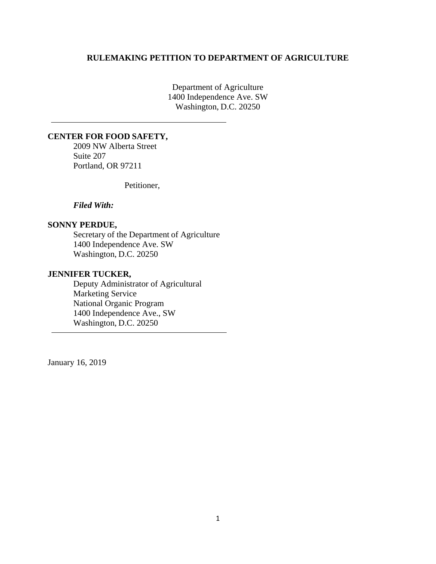#### **RULEMAKING PETITION TO DEPARTMENT OF AGRICULTURE**

Department of Agriculture 1400 Independence Ave. SW Washington, D.C. 20250

#### **CENTER FOR FOOD SAFETY,**

2009 NW Alberta Street Suite 207 Portland, OR 97211

Petitioner,

*Filed With:* 

#### **SONNY PERDUE,**

Secretary of the Department of Agriculture 1400 Independence Ave. SW Washington, D.C. 20250

#### **JENNIFER TUCKER,**

Deputy Administrator of Agricultural Marketing Service National Organic Program 1400 Independence Ave., SW Washington, D.C. 20250

January 16, 2019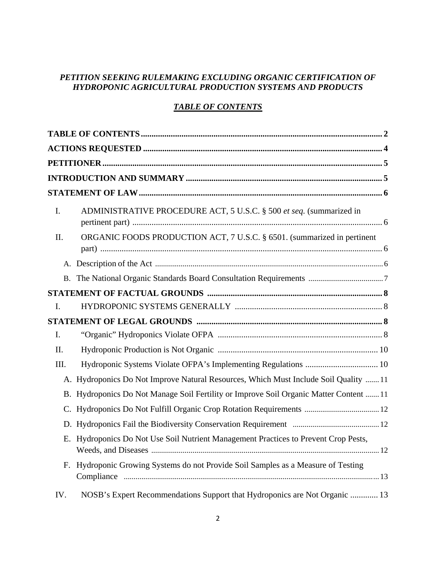# *PETITION SEEKING RULEMAKING EXCLUDING ORGANIC CERTIFICATION OF HYDROPONIC AGRICULTURAL PRODUCTION SYSTEMS AND PRODUCTS*

# *TABLE OF CONTENTS*

| I.  | ADMINISTRATIVE PROCEDURE ACT, 5 U.S.C. § 500 et seq. (summarized in                    |
|-----|----------------------------------------------------------------------------------------|
| II. | ORGANIC FOODS PRODUCTION ACT, 7 U.S.C. § 6501. (summarized in pertinent                |
|     |                                                                                        |
|     |                                                                                        |
|     |                                                                                        |
| I.  |                                                                                        |
|     |                                                                                        |
| I.  |                                                                                        |
| Π.  |                                                                                        |
| Ш.  |                                                                                        |
|     | A. Hydroponics Do Not Improve Natural Resources, Which Must Include Soil Quality  11   |
|     | B. Hydroponics Do Not Manage Soil Fertility or Improve Soil Organic Matter Content  11 |
| C.  |                                                                                        |
|     |                                                                                        |
| Е.  | Hydroponics Do Not Use Soil Nutrient Management Practices to Prevent Crop Pests,       |
| F.  | Hydroponic Growing Systems do not Provide Soil Samples as a Measure of Testing         |
| IV. | NOSB's Expert Recommendations Support that Hydroponics are Not Organic  13             |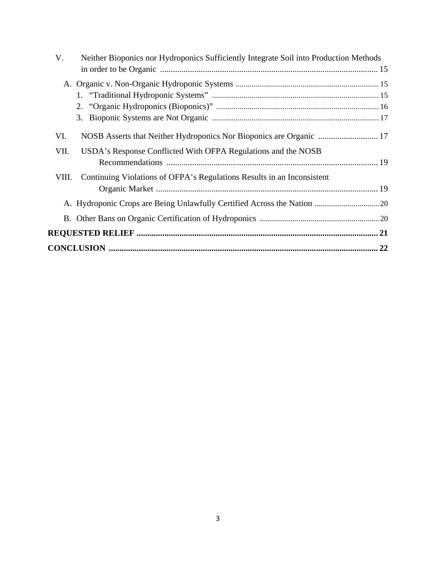| V.<br>Neither Bioponics nor Hydroponics Sufficiently Integrate Soil into Production Methods |  |
|---------------------------------------------------------------------------------------------|--|
|                                                                                             |  |
|                                                                                             |  |
|                                                                                             |  |
|                                                                                             |  |
|                                                                                             |  |
| VI.                                                                                         |  |
| VII.<br>USDA's Response Conflicted With OFPA Regulations and the NOSB                       |  |
|                                                                                             |  |
| Continuing Violations of OFPA's Regulations Results in an Inconsistent<br>VIII.             |  |
|                                                                                             |  |
|                                                                                             |  |
|                                                                                             |  |
|                                                                                             |  |
|                                                                                             |  |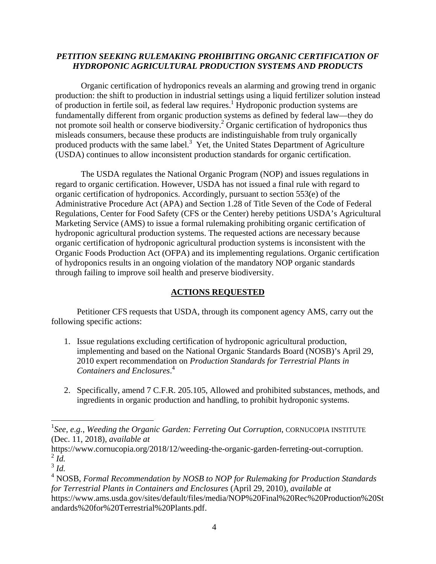## *PETITION SEEKING RULEMAKING PROHIBITING ORGANIC CERTIFICATION OF HYDROPONIC AGRICULTURAL PRODUCTION SYSTEMS AND PRODUCTS*

Organic certification of hydroponics reveals an alarming and growing trend in organic production: the shift to production in industrial settings using a liquid fertilizer solution instead of production in fertile soil, as federal law requires.<sup>1</sup> Hydroponic production systems are fundamentally different from organic production systems as defined by federal law—they do not promote soil health or conserve biodiversity.<sup>2</sup> Organic certification of hydroponics thus misleads consumers, because these products are indistinguishable from truly organically produced products with the same label. $3$  Yet, the United States Department of Agriculture (USDA) continues to allow inconsistent production standards for organic certification.

The USDA regulates the National Organic Program (NOP) and issues regulations in regard to organic certification. However, USDA has not issued a final rule with regard to organic certification of hydroponics. Accordingly, pursuant to section 553(e) of the Administrative Procedure Act (APA) and Section 1.28 of Title Seven of the Code of Federal Regulations, Center for Food Safety (CFS or the Center) hereby petitions USDA's Agricultural Marketing Service (AMS) to issue a formal rulemaking prohibiting organic certification of hydroponic agricultural production systems. The requested actions are necessary because organic certification of hydroponic agricultural production systems is inconsistent with the Organic Foods Production Act (OFPA) and its implementing regulations. Organic certification of hydroponics results in an ongoing violation of the mandatory NOP organic standards through failing to improve soil health and preserve biodiversity.

## **ACTIONS REQUESTED**

 Petitioner CFS requests that USDA, through its component agency AMS, carry out the following specific actions:

- 1. Issue regulations excluding certification of hydroponic agricultural production, implementing and based on the National Organic Standards Board (NOSB)'s April 29, 2010 expert recommendation on *Production Standards for Terrestrial Plants in Containers and Enclosures*. 4
- 2. Specifically, amend 7 C.F.R. 205.105, Allowed and prohibited substances, methods, and ingredients in organic production and handling, to prohibit hydroponic systems.

<sup>&</sup>lt;sup>1</sup>See, e.g., *Weeding the Organic Garden: Ferreting Out Corruption*, CORNUCOPIA INSTITUTE (Dec. 11, 2018), *available at*

https://www.cornucopia.org/2018/12/weeding-the-organic-garden-ferreting-out-corruption.<br>
<sup>2</sup> Id.

 $\int_0^3 I d$ .

<sup>4</sup> NOSB, *Formal Recommendation by NOSB to NOP for Rulemaking for Production Standards for Terrestrial Plants in Containers and Enclosures* (April 29, 2010), *available at* https://www.ams.usda.gov/sites/default/files/media/NOP%20Final%20Rec%20Production%20St andards%20for%20Terrestrial%20Plants.pdf.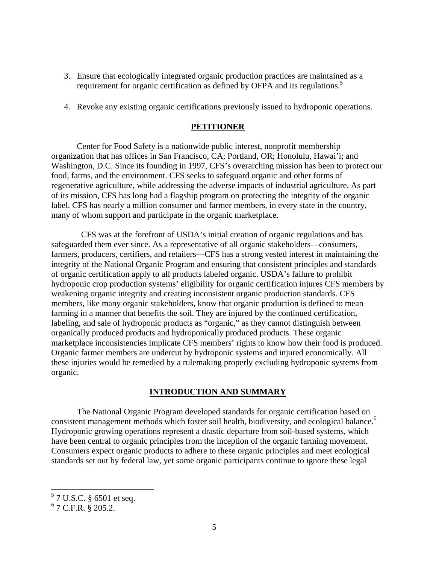- 3. Ensure that ecologically integrated organic production practices are maintained as a requirement for organic certification as defined by OFPA and its regulations.<sup>5</sup>
- 4. Revoke any existing organic certifications previously issued to hydroponic operations.

#### **PETITIONER**

 Center for Food Safety is a nationwide public interest, nonprofit membership organization that has offices in San Francisco, CA; Portland, OR; Honolulu, Hawai'i; and Washington, D.C. Since its founding in 1997, CFS's overarching mission has been to protect our food, farms, and the environment. CFS seeks to safeguard organic and other forms of regenerative agriculture, while addressing the adverse impacts of industrial agriculture. As part of its mission, CFS has long had a flagship program on protecting the integrity of the organic label. CFS has nearly a million consumer and farmer members, in every state in the country, many of whom support and participate in the organic marketplace.

 CFS was at the forefront of USDA's initial creation of organic regulations and has safeguarded them ever since. As a representative of all organic stakeholders—consumers, farmers, producers, certifiers, and retailers—CFS has a strong vested interest in maintaining the integrity of the National Organic Program and ensuring that consistent principles and standards of organic certification apply to all products labeled organic. USDA's failure to prohibit hydroponic crop production systems' eligibility for organic certification injures CFS members by weakening organic integrity and creating inconsistent organic production standards. CFS members, like many organic stakeholders, know that organic production is defined to mean farming in a manner that benefits the soil. They are injured by the continued certification, labeling, and sale of hydroponic products as "organic," as they cannot distinguish between organically produced products and hydroponically produced products. These organic marketplace inconsistencies implicate CFS members' rights to know how their food is produced. Organic farmer members are undercut by hydroponic systems and injured economically. All these injuries would be remedied by a rulemaking properly excluding hydroponic systems from organic.

## **INTRODUCTION AND SUMMARY**

 The National Organic Program developed standards for organic certification based on consistent management methods which foster soil health, biodiversity, and ecological balance.<sup>6</sup> Hydroponic growing operations represent a drastic departure from soil-based systems, which have been central to organic principles from the inception of the organic farming movement. Consumers expect organic products to adhere to these organic principles and meet ecological standards set out by federal law, yet some organic participants continue to ignore these legal

 5 7 U.S.C. § 6501 et seq.

 $6$  7 C.F.R. § 205.2.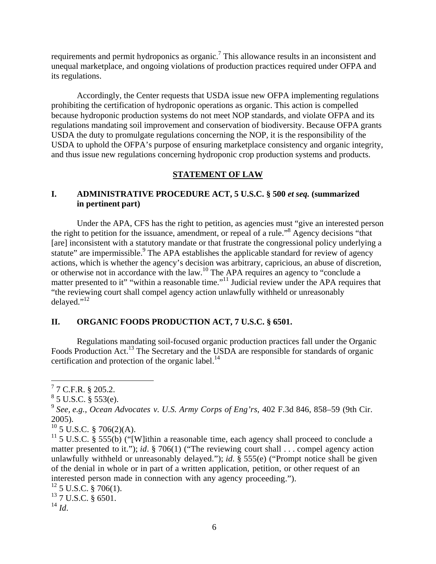requirements and permit hydroponics as organic.<sup>7</sup> This allowance results in an inconsistent and unequal marketplace, and ongoing violations of production practices required under OFPA and its regulations.

 Accordingly, the Center requests that USDA issue new OFPA implementing regulations prohibiting the certification of hydroponic operations as organic. This action is compelled because hydroponic production systems do not meet NOP standards, and violate OFPA and its regulations mandating soil improvement and conservation of biodiversity. Because OFPA grants USDA the duty to promulgate regulations concerning the NOP, it is the responsibility of the USDA to uphold the OFPA's purpose of ensuring marketplace consistency and organic integrity, and thus issue new regulations concerning hydroponic crop production systems and products.

## **STATEMENT OF LAW**

## **I. ADMINISTRATIVE PROCEDURE ACT, 5 U.S.C. § 500** *et seq.* **(summarized in pertinent part)**

 Under the APA, CFS has the right to petition, as agencies must "give an interested person the right to petition for the issuance, amendment, or repeal of a rule."8 Agency decisions "that [are] inconsistent with a statutory mandate or that frustrate the congressional policy underlying a statute" are impermissible.<sup>9</sup> The APA establishes the applicable standard for review of agency actions, which is whether the agency's decision was arbitrary, capricious, an abuse of discretion, or otherwise not in accordance with the law.<sup>10</sup> The APA requires an agency to "conclude a matter presented to it" "within a reasonable time."<sup>11</sup> Judicial review under the APA requires that "the reviewing court shall compel agency action unlawfully withheld or unreasonably delayed." $^{12}$ 

#### **II. ORGANIC FOODS PRODUCTION ACT, 7 U.S.C. § 6501.**

 Regulations mandating soil-focused organic production practices fall under the Organic Foods Production Act.<sup>13</sup> The Secretary and the USDA are responsible for standards of organic certification and protection of the organic label. $^{14}$ 

 $10$  5 U.S.C. § 706(2)(A).

 $^{14}$  *Id*.

 $77$  C.F.R. § 205.2.

 $8^8$  5 U.S.C.  $\S$  553(e).

<sup>9</sup> *See, e.g.*, *Ocean Advocates v. U.S. Army Corps of Eng'rs*, 402 F.3d 846, 858–59 (9th Cir. 2005).

<sup>&</sup>lt;sup>11</sup> 5 U.S.C. § 555(b) ("[W]ithin a reasonable time, each agency shall proceed to conclude a matter presented to it."); *id*. § 706(1) ("The reviewing court shall . . . compel agency action unlawfully withheld or unreasonably delayed."); *id.* § 555(e) ("Prompt notice shall be given of the denial in whole or in part of a written application, petition, or other request of an interested person made in connection with any agency proceeding.").

 $^{12}$  5 U.S.C. § 706(1).

<sup>&</sup>lt;sup>13</sup> 7 U.S.C. § 6501.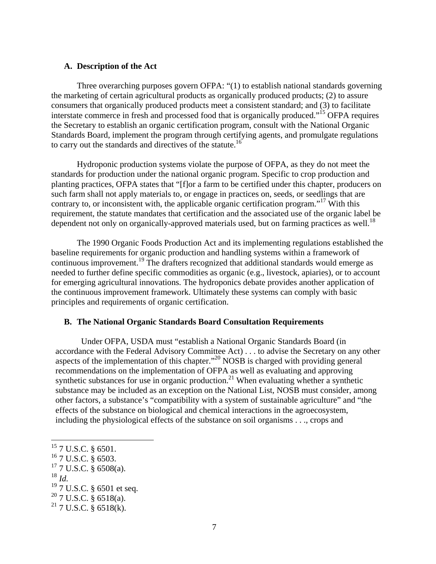#### **A. Description of the Act**

 Three overarching purposes govern OFPA: "(1) to establish national standards governing the marketing of certain agricultural products as organically produced products; (2) to assure consumers that organically produced products meet a consistent standard; and (3) to facilitate interstate commerce in fresh and processed food that is organically produced."15 OFPA requires the Secretary to establish an organic certification program, consult with the National Organic Standards Board, implement the program through certifying agents, and promulgate regulations to carry out the standards and directives of the statute.<sup>16</sup>

 Hydroponic production systems violate the purpose of OFPA, as they do not meet the standards for production under the national organic program. Specific to crop production and planting practices, OFPA states that "[f]or a farm to be certified under this chapter, producers on such farm shall not apply materials to, or engage in practices on, seeds, or seedlings that are contrary to, or inconsistent with, the applicable organic certification program."<sup>17</sup> With this requirement, the statute mandates that certification and the associated use of the organic label be dependent not only on organically-approved materials used, but on farming practices as well.<sup>18</sup>

 The 1990 Organic Foods Production Act and its implementing regulations established the baseline requirements for organic production and handling systems within a framework of continuous improvement.<sup>19</sup> The drafters recognized that additional standards would emerge as needed to further define specific commodities as organic (e.g., livestock, apiaries), or to account for emerging agricultural innovations. The hydroponics debate provides another application of the continuous improvement framework. Ultimately these systems can comply with basic principles and requirements of organic certification.

#### **B. The National Organic Standards Board Consultation Requirements**

Under OFPA, USDA must "establish a National Organic Standards Board (in accordance with the Federal Advisory Committee Act) . . . to advise the Secretary on any other aspects of the implementation of this chapter."<sup>20</sup> NOSB is charged with providing general recommendations on the implementation of OFPA as well as evaluating and approving synthetic substances for use in organic production.<sup>21</sup> When evaluating whether a synthetic substance may be included as an exception on the National List, NOSB must consider, among other factors, a substance's "compatibility with a system of sustainable agriculture" and "the effects of the substance on biological and chemical interactions in the agroecosystem, including the physiological effects of the substance on soil organisms . . ., crops and

  $15$  7 U.S.C. § 6501. 16 7 U.S.C. § 6503.  $^{17}$  7 U.S.C. § 6508(a).<br> $^{18}$  *M*. <sup>19</sup> 7 U.S.C. § 6501 et seq.  $20$  7 U.S.C. § 6518(a).

 $21$  7 U.S.C. § 6518(k).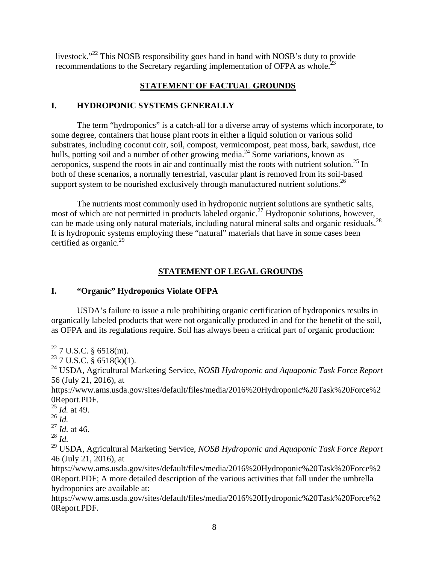livestock."22 This NOSB responsibility goes hand in hand with NOSB's duty to provide recommendations to the Secretary regarding implementation of OFPA as whole.<sup>23</sup>

# **STATEMENT OF FACTUAL GROUNDS**

## **I. HYDROPONIC SYSTEMS GENERALLY**

 The term "hydroponics" is a catch-all for a diverse array of systems which incorporate, to some degree, containers that house plant roots in either a liquid solution or various solid substrates, including coconut coir, soil, compost, vermicompost, peat moss, bark, sawdust, rice hulls, potting soil and a number of other growing media.<sup>24</sup> Some variations, known as aeroponics, suspend the roots in air and continually mist the roots with nutrient solution.<sup>25</sup> In both of these scenarios, a normally terrestrial, vascular plant is removed from its soil-based support system to be nourished exclusively through manufactured nutrient solutions.<sup>26</sup>

 The nutrients most commonly used in hydroponic nutrient solutions are synthetic salts, The numeris most commonly used in the new conditions, however,<br>most of which are not permitted in products labeled organic.<sup>27</sup> Hydroponic solutions, however, can be made using only natural materials, including natural mineral salts and organic residuals. It is hydroponic systems employing these "natural" materials that have in some cases been certified as organic.<sup>29</sup>

# **STATEMENT OF LEGAL GROUNDS**

## **I. "Organic" Hydroponics Violate OFPA**

 USDA's failure to issue a rule prohibiting organic certification of hydroponics results in organically labeled products that were not organically produced in and for the benefit of the soil, as OFPA and its regulations require. Soil has always been a critical part of organic production:

https://www.ams.usda.gov/sites/default/files/media/2016%20Hydroponic%20Task%20Force%2 0Report.PDF.

 $^{25}$  *Id.* at 49.

<sup>26</sup> *Id.*

<sup>27</sup> *Id.* at 46.

<sup>29</sup> USDA, Agricultural Marketing Service, *NOSB Hydroponic and Aquaponic Task Force Report* 46 (July 21, 2016), at

https://www.ams.usda.gov/sites/default/files/media/2016%20Hydroponic%20Task%20Force%2 0Report.PDF; A more detailed description of the various activities that fall under the umbrella hydroponics are available at:

https://www.ams.usda.gov/sites/default/files/media/2016%20Hydroponic%20Task%20Force%2 0Report.PDF.

 $22$  7 U.S.C. § 6518(m).

 $23$  7 U.S.C. § 6518(k)(1).

<sup>24</sup> USDA, Agricultural Marketing Service, *NOSB Hydroponic and Aquaponic Task Force Report* 56 (July 21, 2016), at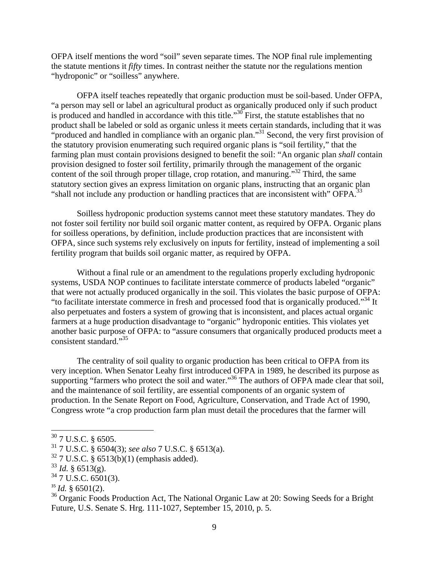OFPA itself mentions the word "soil" seven separate times. The NOP final rule implementing the statute mentions it *fifty* times. In contrast neither the statute nor the regulations mention "hydroponic" or "soilless" anywhere.

 OFPA itself teaches repeatedly that organic production must be soil-based. Under OFPA, "a person may sell or label an agricultural product as organically produced only if such product is produced and handled in accordance with this title."<sup>30</sup> First, the statute establishes that no product shall be labeled or sold as organic unless it meets certain standards, including that it was "produced and handled in compliance with an organic plan."<sup>31</sup> Second, the very first provision of the statutory provision enumerating such required organic plans is "soil fertility," that the farming plan must contain provisions designed to benefit the soil: "An organic plan *shall* contain provision designed to foster soil fertility, primarily through the management of the organic content of the soil through proper tillage, crop rotation, and manuring." $32$  Third, the same statutory section gives an express limitation on organic plans, instructing that an organic plan "shall not include any production or handling practices that are inconsistent with" OFPA.<sup>33</sup>

 Soilless hydroponic production systems cannot meet these statutory mandates. They do not foster soil fertility nor build soil organic matter content, as required by OFPA. Organic plans for soilless operations, by definition, include production practices that are inconsistent with OFPA, since such systems rely exclusively on inputs for fertility, instead of implementing a soil fertility program that builds soil organic matter, as required by OFPA.

 Without a final rule or an amendment to the regulations properly excluding hydroponic systems, USDA NOP continues to facilitate interstate commerce of products labeled "organic" that were not actually produced organically in the soil. This violates the basic purpose of OFPA: "to facilitate interstate commerce in fresh and processed food that is organically produced."<sup>34</sup> It also perpetuates and fosters a system of growing that is inconsistent, and places actual organic farmers at a huge production disadvantage to "organic" hydroponic entities. This violates yet another basic purpose of OFPA: to "assure consumers that organically produced products meet a consistent standard."35

 The centrality of soil quality to organic production has been critical to OFPA from its very inception. When Senator Leahy first introduced OFPA in 1989, he described its purpose as supporting "farmers who protect the soil and water."<sup>36</sup> The authors of OFPA made clear that soil, and the maintenance of soil fertility, are essential components of an organic system of production. In the Senate Report on Food, Agriculture, Conservation, and Trade Act of 1990, Congress wrote "a crop production farm plan must detail the procedures that the farmer will

 $35$  *Id.* § 6501(2).

<sup>36</sup> Organic Foods Production Act, The National Organic Law at 20: Sowing Seeds for a Bright Future, U.S. Senate S. Hrg. 111-1027, September 15, 2010, p. 5.

 $30$  7 U.S.C. § 6505.

<sup>31 7</sup> U.S.C. § 6504(3); *see also* 7 U.S.C. § 6513(a).

 $32$  7 U.S.C. § 6513(b)(1) (emphasis added).

 $33$  *Id.* § 6513(g).

 $34$  7 U.S.C. 6501(3).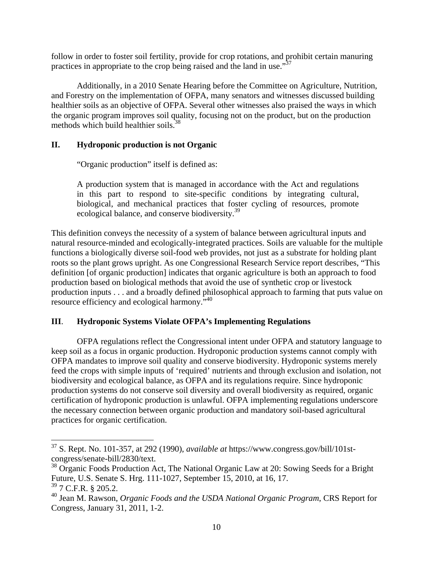follow in order to foster soil fertility, provide for crop rotations, and prohibit certain manuring practices in appropriate to the crop being raised and the land in use."37

 Additionally, in a 2010 Senate Hearing before the Committee on Agriculture, Nutrition, and Forestry on the implementation of OFPA, many senators and witnesses discussed building healthier soils as an objective of OFPA. Several other witnesses also praised the ways in which the organic program improves soil quality, focusing not on the product, but on the production methods which build healthier soils.<sup>38</sup>

## **II. Hydroponic production is not Organic**

"Organic production" itself is defined as:

A production system that is managed in accordance with the Act and regulations in this part to respond to site-specific conditions by integrating cultural, biological, and mechanical practices that foster cycling of resources, promote ecological balance, and conserve biodiversity.<sup>39</sup>

This definition conveys the necessity of a system of balance between agricultural inputs and natural resource-minded and ecologically-integrated practices. Soils are valuable for the multiple functions a biologically diverse soil-food web provides, not just as a substrate for holding plant roots so the plant grows upright. As one Congressional Research Service report describes, "This definition [of organic production] indicates that organic agriculture is both an approach to food production based on biological methods that avoid the use of synthetic crop or livestock production inputs . . . and a broadly defined philosophical approach to farming that puts value on resource efficiency and ecological harmony."40

# **III**. **Hydroponic Systems Violate OFPA's Implementing Regulations**

 OFPA regulations reflect the Congressional intent under OFPA and statutory language to keep soil as a focus in organic production. Hydroponic production systems cannot comply with OFPA mandates to improve soil quality and conserve biodiversity. Hydroponic systems merely feed the crops with simple inputs of 'required' nutrients and through exclusion and isolation, not biodiversity and ecological balance, as OFPA and its regulations require. Since hydroponic production systems do not conserve soil diversity and overall biodiversity as required, organic certification of hydroponic production is unlawful. OFPA implementing regulations underscore the necessary connection between organic production and mandatory soil-based agricultural practices for organic certification.

<sup>37</sup> S. Rept. No. 101-357, at 292 (1990), *available at* https://www.congress.gov/bill/101stcongress/senate-bill/2830/text.

<sup>&</sup>lt;sup>38</sup> Organic Foods Production Act, The National Organic Law at 20: Sowing Seeds for a Bright Future, U.S. Senate S. Hrg. 111-1027, September 15, 2010, at 16, 17.  $39$  7 C.F.R. § 205.2.

<sup>40</sup> Jean M. Rawson, *Organic Foods and the USDA National Organic Program*, CRS Report for Congress, January 31, 2011, 1-2.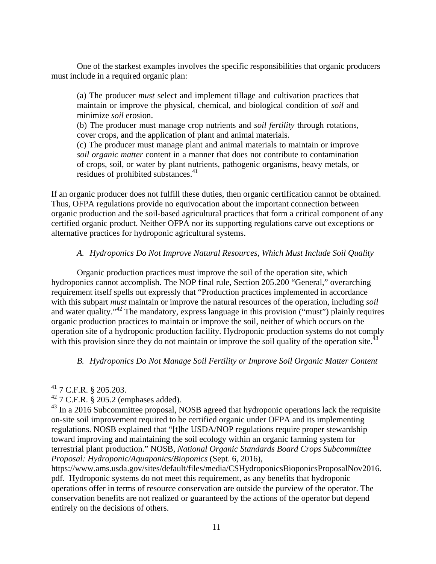One of the starkest examples involves the specific responsibilities that organic producers must include in a required organic plan:

(a) The producer *must* select and implement tillage and cultivation practices that maintain or improve the physical, chemical, and biological condition of *soil* and minimize *soil* erosion.

(b) The producer must manage crop nutrients and *soil fertility* through rotations, cover crops, and the application of plant and animal materials.

(c) The producer must manage plant and animal materials to maintain or improve *soil organic matter* content in a manner that does not contribute to contamination of crops, soil, or water by plant nutrients, pathogenic organisms, heavy metals, or residues of prohibited substances.<sup>41</sup>

If an organic producer does not fulfill these duties, then organic certification cannot be obtained. Thus, OFPA regulations provide no equivocation about the important connection between organic production and the soil-based agricultural practices that form a critical component of any certified organic product. Neither OFPA nor its supporting regulations carve out exceptions or alternative practices for hydroponic agricultural systems.

## *A. Hydroponics Do Not Improve Natural Resources, Which Must Include Soil Quality*

 Organic production practices must improve the soil of the operation site, which hydroponics cannot accomplish. The NOP final rule, Section 205.200 "General," overarching requirement itself spells out expressly that "Production practices implemented in accordance with this subpart *must* maintain or improve the natural resources of the operation, including *soil* and water quality.<sup> $342$ </sup> The mandatory, express language in this provision ("must") plainly requires organic production practices to maintain or improve the soil, neither of which occurs on the operation site of a hydroponic production facility. Hydroponic production systems do not comply with this provision since they do not maintain or improve the soil quality of the operation site.<sup>4</sup>

## *B. Hydroponics Do Not Manage Soil Fertility or Improve Soil Organic Matter Content*

 $^{41}$  7 C.F.R. § 205.203.

 $42$  7 C.F.R. § 205.2 (emphases added).

 $^{43}$  In a 2016 Subcommittee proposal, NOSB agreed that hydroponic operations lack the requisite on-site soil improvement required to be certified organic under OFPA and its implementing regulations. NOSB explained that "[t]he USDA/NOP regulations require proper stewardship toward improving and maintaining the soil ecology within an organic farming system for terrestrial plant production." NOSB, *National Organic Standards Board Crops Subcommittee Proposal: Hydroponic/Aquaponics/Bioponics* (Sept. 6, 2016),

https://www.ams.usda.gov/sites/default/files/media/CSHydroponicsBioponicsProposalNov2016. pdf. Hydroponic systems do not meet this requirement, as any benefits that hydroponic operations offer in terms of resource conservation are outside the purview of the operator. The conservation benefits are not realized or guaranteed by the actions of the operator but depend entirely on the decisions of others.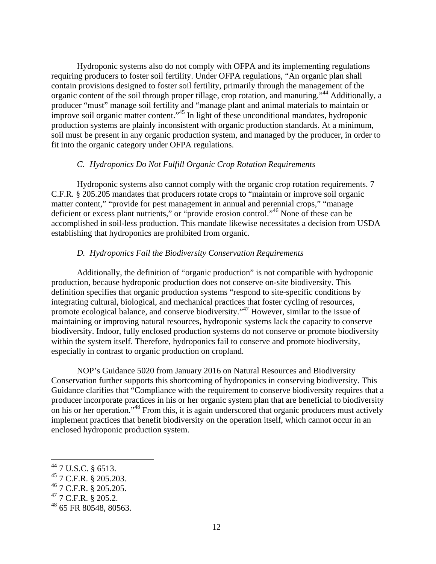Hydroponic systems also do not comply with OFPA and its implementing regulations requiring producers to foster soil fertility. Under OFPA regulations, "An organic plan shall contain provisions designed to foster soil fertility, primarily through the management of the organic content of the soil through proper tillage, crop rotation, and manuring."<sup>44</sup> Additionally, a producer "must" manage soil fertility and "manage plant and animal materials to maintain or improve soil organic matter content."45 In light of these unconditional mandates, hydroponic production systems are plainly inconsistent with organic production standards. At a minimum, soil must be present in any organic production system, and managed by the producer, in order to fit into the organic category under OFPA regulations.

#### *C. Hydroponics Do Not Fulfill Organic Crop Rotation Requirements*

 Hydroponic systems also cannot comply with the organic crop rotation requirements. 7 C.F.R. § 205.205 mandates that producers rotate crops to "maintain or improve soil organic matter content," "provide for pest management in annual and perennial crops," "manage deficient or excess plant nutrients," or "provide erosion control."46 None of these can be accomplished in soil-less production. This mandate likewise necessitates a decision from USDA establishing that hydroponics are prohibited from organic.

#### *D. Hydroponics Fail the Biodiversity Conservation Requirements*

 Additionally, the definition of "organic production" is not compatible with hydroponic production, because hydroponic production does not conserve on-site biodiversity. This definition specifies that organic production systems "respond to site-specific conditions by integrating cultural, biological, and mechanical practices that foster cycling of resources, promote ecological balance, and conserve biodiversity."47 However, similar to the issue of maintaining or improving natural resources, hydroponic systems lack the capacity to conserve biodiversity. Indoor, fully enclosed production systems do not conserve or promote biodiversity within the system itself. Therefore, hydroponics fail to conserve and promote biodiversity, especially in contrast to organic production on cropland.

 NOP's Guidance 5020 from January 2016 on Natural Resources and Biodiversity Conservation further supports this shortcoming of hydroponics in conserving biodiversity. This Guidance clarifies that "Compliance with the requirement to conserve biodiversity requires that a producer incorporate practices in his or her organic system plan that are beneficial to biodiversity on his or her operation."<sup>48</sup> From this, it is again underscored that organic producers must actively implement practices that benefit biodiversity on the operation itself, which cannot occur in an enclosed hydroponic production system.

 $44$  7 U.S.C. § 6513.

<sup>45 7</sup> C.F.R. § 205.203.

<sup>46 7</sup> C.F.R. § 205.205.

 $47$  7 C.F.R. § 205.2.

<sup>48 65</sup> FR 80548, 80563.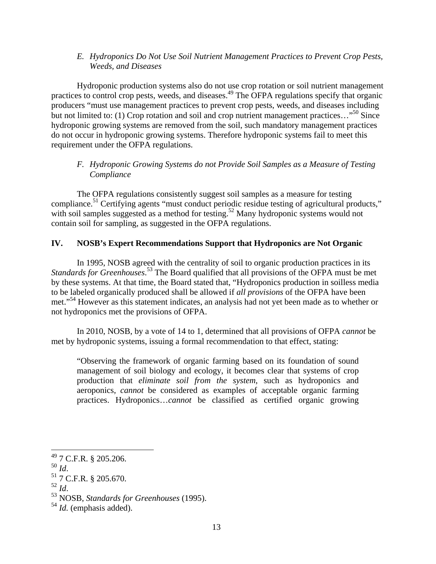#### *E. Hydroponics Do Not Use Soil Nutrient Management Practices to Prevent Crop Pests, Weeds, and Diseases*

 Hydroponic production systems also do not use crop rotation or soil nutrient management practices to control crop pests, weeds, and diseases.<sup>49</sup> The OFPA regulations specify that organic producers "must use management practices to prevent crop pests, weeds, and diseases including but not limited to: (1) Crop rotation and soil and crop nutrient management practices..."<sup>50</sup> Since hydroponic growing systems are removed from the soil, such mandatory management practices do not occur in hydroponic growing systems. Therefore hydroponic systems fail to meet this requirement under the OFPA regulations.

## *F. Hydroponic Growing Systems do not Provide Soil Samples as a Measure of Testing Compliance*

 The OFPA regulations consistently suggest soil samples as a measure for testing compliance.<sup>51</sup> Certifying agents "must conduct periodic residue testing of agricultural products," with soil samples suggested as a method for testing.<sup>52</sup> Many hydroponic systems would not contain soil for sampling, as suggested in the OFPA regulations.

# **IV. NOSB's Expert Recommendations Support that Hydroponics are Not Organic**

 In 1995, NOSB agreed with the centrality of soil to organic production practices in its *Standards for Greenhouses*. 53 The Board qualified that all provisions of the OFPA must be met by these systems. At that time, the Board stated that, "Hydroponics production in soilless media to be labeled organically produced shall be allowed if *all provisions* of the OFPA have been met."54 However as this statement indicates, an analysis had not yet been made as to whether or not hydroponics met the provisions of OFPA.

 In 2010, NOSB, by a vote of 14 to 1, determined that all provisions of OFPA *cannot* be met by hydroponic systems, issuing a formal recommendation to that effect, stating:

"Observing the framework of organic farming based on its foundation of sound management of soil biology and ecology, it becomes clear that systems of crop production that *eliminate soil from the system*, such as hydroponics and aeroponics, *cannot* be considered as examples of acceptable organic farming practices. Hydroponics…*cannot* be classified as certified organic growing

 $^{49}$  7 C.F.R. § 205.206.

<sup>&</sup>lt;sup>50</sup> *Id.*<br><sup>51</sup> 7 C.F.R. § 205.670.<br><sup>52</sup> *Id.* 

<sup>52</sup> *Id*. 53 NOSB, *Standards for Greenhouses* (1995).

<sup>54</sup> *Id.* (emphasis added).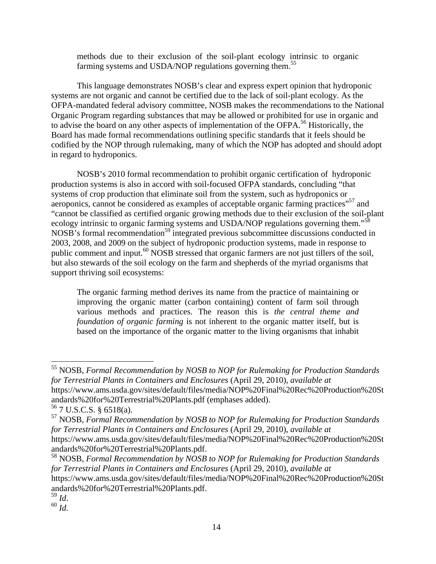methods due to their exclusion of the soil-plant ecology intrinsic to organic farming systems and USDA/NOP regulations governing them.<sup>55</sup>

 This language demonstrates NOSB's clear and express expert opinion that hydroponic systems are not organic and cannot be certified due to the lack of soil-plant ecology. As the OFPA-mandated federal advisory committee, NOSB makes the recommendations to the National Organic Program regarding substances that may be allowed or prohibited for use in organic and to advise the board on any other aspects of implementation of the OFPA.<sup>56</sup> Historically, the Board has made formal recommendations outlining specific standards that it feels should be codified by the NOP through rulemaking, many of which the NOP has adopted and should adopt in regard to hydroponics.

 NOSB's 2010 formal recommendation to prohibit organic certification of hydroponic production systems is also in accord with soil-focused OFPA standards, concluding "that systems of crop production that eliminate soil from the system, such as hydroponics or aeroponics, cannot be considered as examples of acceptable organic farming practices"<sup>57</sup> and "cannot be classified as certified organic growing methods due to their exclusion of the soil-plant ecology intrinsic to organic farming systems and USDA/NOP regulations governing them."<sup>58</sup>  $NOSB$ 's formal recommendation<sup>59</sup> integrated previous subcommittee discussions conducted in 2003, 2008, and 2009 on the subject of hydroponic production systems, made in response to public comment and input.<sup>60</sup> NOSB stressed that organic farmers are not just tillers of the soil, but also stewards of the soil ecology on the farm and shepherds of the myriad organisms that support thriving soil ecosystems:

The organic farming method derives its name from the practice of maintaining or improving the organic matter (carbon containing) content of farm soil through various methods and practices. The reason this is *the central theme and foundation of organic farming* is not inherent to the organic matter itself, but is based on the importance of the organic matter to the living organisms that inhabit

<sup>55</sup> NOSB, *Formal Recommendation by NOSB to NOP for Rulemaking for Production Standards for Terrestrial Plants in Containers and Enclosures* (April 29, 2010), *available at* https://www.ams.usda.gov/sites/default/files/media/NOP%20Final%20Rec%20Production%20St andards%20for%20Terrestrial%20Plants.pdf (emphases added).

<sup>56 7</sup> U.S.C.S. § 6518(a).

<sup>57</sup> NOSB, *Formal Recommendation by NOSB to NOP for Rulemaking for Production Standards for Terrestrial Plants in Containers and Enclosures* (April 29, 2010), *available at* https://www.ams.usda.gov/sites/default/files/media/NOP%20Final%20Rec%20Production%20St andards%20for%20Terrestrial%20Plants.pdf.

<sup>58</sup> NOSB, *Formal Recommendation by NOSB to NOP for Rulemaking for Production Standards for Terrestrial Plants in Containers and Enclosures* (April 29, 2010), *available at* https://www.ams.usda.gov/sites/default/files/media/NOP%20Final%20Rec%20Production%20St andards%20for%20Terrestrial%20Plants.pdf.<br><sup>59</sup> Id.

<sup>59</sup> *Id*. 60 *Id.*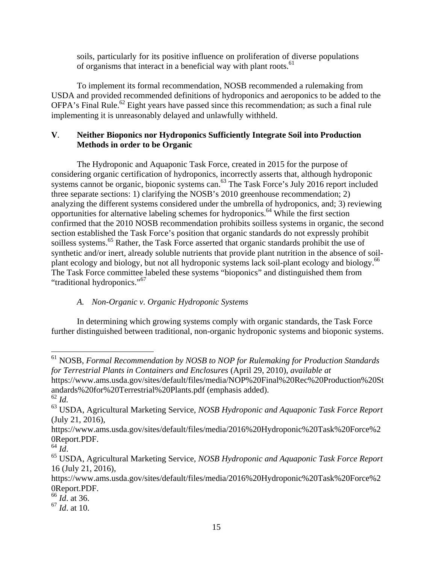soils, particularly for its positive influence on proliferation of diverse populations of organisms that interact in a beneficial way with plant roots.<sup>61</sup>

 To implement its formal recommendation, NOSB recommended a rulemaking from USDA and provided recommended definitions of hydroponics and aeroponics to be added to the  $OFPA$ 's Final Rule.<sup>62</sup> Eight years have passed since this recommendation; as such a final rule implementing it is unreasonably delayed and unlawfully withheld.

#### **V**. **Neither Bioponics nor Hydroponics Sufficiently Integrate Soil into Production Methods in order to be Organic**

 The Hydroponic and Aquaponic Task Force, created in 2015 for the purpose of considering organic certification of hydroponics, incorrectly asserts that, although hydroponic systems cannot be organic, bioponic systems can.<sup>63</sup> The Task Force's July 2016 report included three separate sections: 1) clarifying the NOSB's 2010 greenhouse recommendation; 2) analyzing the different systems considered under the umbrella of hydroponics, and; 3) reviewing opportunities for alternative labeling schemes for hydroponics.64 While the first section confirmed that the 2010 NOSB recommendation prohibits soilless systems in organic, the second section established the Task Force's position that organic standards do not expressly prohibit soilless systems.<sup>65</sup> Rather, the Task Force asserted that organic standards prohibit the use of synthetic and/or inert, already soluble nutrients that provide plant nutrition in the absence of soilplant ecology and biology, but not all hydroponic systems lack soil-plant ecology and biology.<sup>66</sup> The Task Force committee labeled these systems "bioponics" and distinguished them from "traditional hydroponics."67

## *A. Non-Organic v. Organic Hydroponic Systems*

 In determining which growing systems comply with organic standards, the Task Force further distinguished between traditional, non-organic hydroponic systems and bioponic systems.

https://www.ams.usda.gov/sites/default/files/media/NOP%20Final%20Rec%20Production%20St andards%20for%20Terrestrial%20Plants.pdf (emphasis added).

<sup>61</sup> NOSB, *Formal Recommendation by NOSB to NOP for Rulemaking for Production Standards for Terrestrial Plants in Containers and Enclosures* (April 29, 2010), *available at*

<sup>62</sup> *Id.*

<sup>63</sup> USDA, Agricultural Marketing Service, *NOSB Hydroponic and Aquaponic Task Force Report* (July 21, 2016),

https://www.ams.usda.gov/sites/default/files/media/2016%20Hydroponic%20Task%20Force%2 0Report.PDF.

<sup>64</sup> *Id*. 65 USDA, Agricultural Marketing Service, *NOSB Hydroponic and Aquaponic Task Force Report* 16 (July 21, 2016),

https://www.ams.usda.gov/sites/default/files/media/2016%20Hydroponic%20Task%20Force%2 0Report.PDF.

<sup>66</sup> *Id*. at 36.

<sup>67</sup> *Id*. at 10.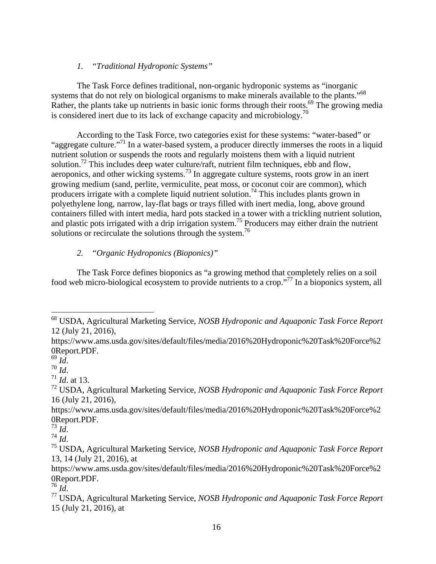#### *1. "Traditional Hydroponic Systems"*

 The Task Force defines traditional, non-organic hydroponic systems as "inorganic systems that do not rely on biological organisms to make minerals available to the plants."<sup>68</sup> Rather, the plants take up nutrients in basic ionic forms through their roots.<sup>69</sup> The growing media is considered inert due to its lack of exchange capacity and microbiology.<sup>70</sup>

 According to the Task Force, two categories exist for these systems: "water-based" or "aggregate culture."<sup>71</sup> In a water-based system, a producer directly immerses the roots in a liquid nutrient solution or suspends the roots and regularly moistens them with a liquid nutrient solution.<sup>72</sup> This includes deep water culture/raft, nutrient film techniques, ebb and flow, aeroponics, and other wicking systems.73 In aggregate culture systems, roots grow in an inert growing medium (sand, perlite, vermiculite, peat moss, or coconut coir are common), which producers irrigate with a complete liquid nutrient solution.<sup>74</sup> This includes plants grown in polyethylene long, narrow, lay-flat bags or trays filled with inert media, long, above ground containers filled with intert media, hard pots stacked in a tower with a trickling nutrient solution, and plastic pots irrigated with a drip irrigation system.<sup>75</sup> Producers may either drain the nutrient solutions or recirculate the solutions through the system.<sup>76</sup>

## *2. "Organic Hydroponics (Bioponics)"*

 The Task Force defines bioponics as "a growing method that completely relies on a soil food web micro-biological ecosystem to provide nutrients to a crop."77 In a bioponics system, all

<sup>68</sup> USDA, Agricultural Marketing Service, *NOSB Hydroponic and Aquaponic Task Force Report* 12 (July 21, 2016),

https://www.ams.usda.gov/sites/default/files/media/2016%20Hydroponic%20Task%20Force%2 0Report.PDF.<br> $^{69}$  *Id.* 

<sup>69</sup> *Id*. 70 *Id*. 71 *Id*. at 13.

<sup>72</sup> USDA, Agricultural Marketing Service, *NOSB Hydroponic and Aquaponic Task Force Report* 16 (July 21, 2016),

https://www.ams.usda.gov/sites/default/files/media/2016%20Hydroponic%20Task%20Force%2 0Report.PDF.<br><sup>73</sup> Id.

<sup>73</sup> *Id*. 74 *Id*. 75 USDA, Agricultural Marketing Service, *NOSB Hydroponic and Aquaponic Task Force Report* 13, 14 (July 21, 2016), at

https://www.ams.usda.gov/sites/default/files/media/2016%20Hydroponic%20Task%20Force%2 0Report.PDF.<br><sup>76</sup> Id.

<sup>&</sup>lt;sup>77</sup> USDA, Agricultural Marketing Service, *NOSB Hydroponic and Aquaponic Task Force Report* 15 (July 21, 2016), at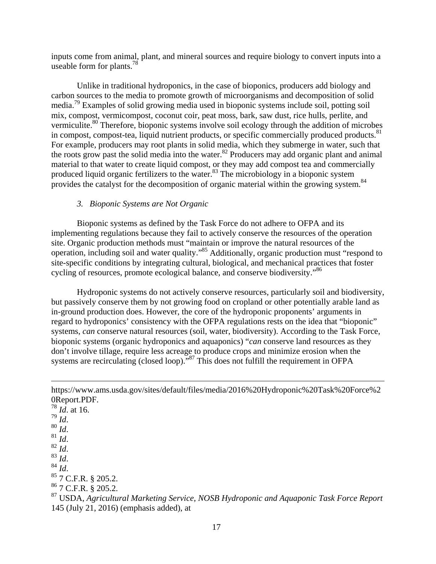inputs come from animal, plant, and mineral sources and require biology to convert inputs into a useable form for plants.<sup>78</sup>

 Unlike in traditional hydroponics, in the case of bioponics, producers add biology and carbon sources to the media to promote growth of microorganisms and decomposition of solid media.79 Examples of solid growing media used in bioponic systems include soil, potting soil mix, compost, vermicompost, coconut coir, peat moss, bark, saw dust, rice hulls, perlite, and vermiculite.<sup>80</sup> Therefore, bioponic systems involve soil ecology through the addition of microbes in compost, compost-tea, liquid nutrient products, or specific commercially produced products.<sup>81</sup> For example, producers may root plants in solid media, which they submerge in water, such that the roots grow past the solid media into the water.<sup>82</sup> Producers may add organic plant and animal material to that water to create liquid compost, or they may add compost tea and commercially produced liquid organic fertilizers to the water.<sup>83</sup> The microbiology in a bioponic system provides the catalyst for the decomposition of organic material within the growing system.<sup>84</sup>

#### *3. Bioponic Systems are Not Organic*

 Bioponic systems as defined by the Task Force do not adhere to OFPA and its implementing regulations because they fail to actively conserve the resources of the operation site. Organic production methods must "maintain or improve the natural resources of the operation, including soil and water quality."85 Additionally, organic production must "respond to site-specific conditions by integrating cultural, biological, and mechanical practices that foster cycling of resources, promote ecological balance, and conserve biodiversity."<sup>86</sup>

 Hydroponic systems do not actively conserve resources, particularly soil and biodiversity, but passively conserve them by not growing food on cropland or other potentially arable land as in-ground production does. However, the core of the hydroponic proponents' arguments in regard to hydroponics' consistency with the OFPA regulations rests on the idea that "bioponic" systems, *can* conserve natural resources (soil, water, biodiversity). According to the Task Force, bioponic systems (organic hydroponics and aquaponics) "*can* conserve land resources as they don't involve tillage, require less acreage to produce crops and minimize erosion when the systems are recirculating (closed loop)."<sup>87</sup> This does not fulfill the requirement in OFPA

<u> 1989 - Johann Stein, marwolaethau a gweledydd a ganlad y ganlad y ganlad y ganlad y ganlad y ganlad y ganlad</u>

 $\frac{78}{79}$  *Id.* at 16. 80 *Id.*<br>81 *Id.*<br>82 *Id.*<br>83 *Id.* 84 *Id.* 85 7 C.F.R. § 205.2. 86 7 C.F.R. § 205.2. 87 USDA, *Agricultural Marketing Service, NOSB Hydroponic and Aquaponic Task Force Report* 145 (July 21, 2016) (emphasis added), at

https://www.ams.usda.gov/sites/default/files/media/2016%20Hydroponic%20Task%20Force%2 0Report.PDF.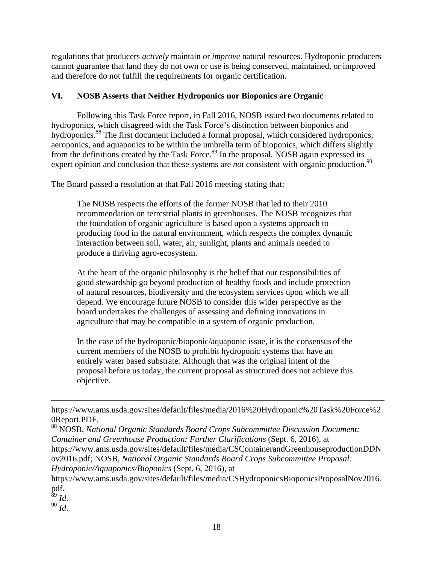regulations that producers *actively* maintain or *improve* natural resources. Hydroponic producers cannot guarantee that land they do not own or use is being conserved, maintained, or improved and therefore do not fulfill the requirements for organic certification.

## **VI. NOSB Asserts that Neither Hydroponics nor Bioponics are Organic**

 Following this Task Force report, in Fall 2016, NOSB issued two documents related to hydroponics, which disagreed with the Task Force's distinction between bioponics and hydroponics.<sup>88</sup> The first document included a formal proposal, which considered hydroponics, aeroponics, and aquaponics to be within the umbrella term of bioponics, which differs slightly from the definitions created by the Task Force.<sup>89</sup> In the proposal, NOSB again expressed its expert opinion and conclusion that these systems are *not* consistent with organic production.<sup>90</sup>

The Board passed a resolution at that Fall 2016 meeting stating that:

The NOSB respects the efforts of the former NOSB that led to their 2010 recommendation on terrestrial plants in greenhouses. The NOSB recognizes that the foundation of organic agriculture is based upon a systems approach to producing food in the natural environment, which respects the complex dynamic interaction between soil, water, air, sunlight, plants and animals needed to produce a thriving agro-ecosystem.

At the heart of the organic philosophy is the belief that our responsibilities of good stewardship go beyond production of healthy foods and include protection of natural resources, biodiversity and the ecosystem services upon which we all depend. We encourage future NOSB to consider this wider perspective as the board undertakes the challenges of assessing and defining innovations in agriculture that may be compatible in a system of organic production.

In the case of the hydroponic/bioponic/aquaponic issue, it is the consensus of the current members of the NOSB to prohibit hydroponic systems that have an entirely water based substrate. Although that was the original intent of the proposal before us today, the current proposal as structured does not achieve this objective.

<u> 1989 - Johann Stein, marwolaethau a gweledydd a ganlad y ganlad y ganlad y ganlad y ganlad y ganlad y ganlad</u>

89 *Id*. 90 *Id*.

https://www.ams.usda.gov/sites/default/files/media/2016%20Hydroponic%20Task%20Force%2 0Report.PDF.

<sup>88</sup> NOSB, *National Organic Standards Board Crops Subcommittee Discussion Document: Container and Greenhouse Production: Further Clarifications* (Sept. 6, 2016), at https://www.ams.usda.gov/sites/default/files/media/CSContainerandGreenhouseproductionDDN ov2016.pdf; NOSB, *National Organic Standards Board Crops Subcommittee Proposal: Hydroponic/Aquaponics/Bioponics* (Sept. 6, 2016), at

https://www.ams.usda.gov/sites/default/files/media/CSHydroponicsBioponicsProposalNov2016. pdf.<br> $\frac{89}{6}$ *Id.*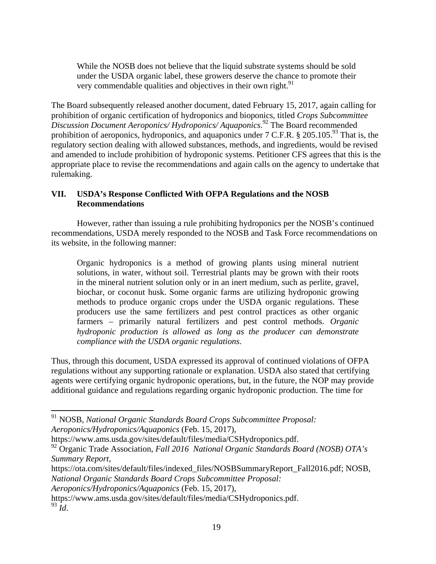While the NOSB does not believe that the liquid substrate systems should be sold under the USDA organic label, these growers deserve the chance to promote their very commendable qualities and objectives in their own right.<sup>91</sup>

The Board subsequently released another document, dated February 15, 2017, again calling for prohibition of organic certification of hydroponics and bioponics, titled *Crops Subcommittee Discussion Document Aeroponics/ Hydroponics/ Aquaponics*. 92 The Board recommended prohibition of aeroponics, hydroponics, and aquaponics under  $7 \text{ C.F.R.}$  § 205.105.<sup>93</sup> That is, the regulatory section dealing with allowed substances, methods, and ingredients, would be revised and amended to include prohibition of hydroponic systems. Petitioner CFS agrees that this is the appropriate place to revise the recommendations and again calls on the agency to undertake that rulemaking.

## **VII. USDA's Response Conflicted With OFPA Regulations and the NOSB Recommendations**

 However, rather than issuing a rule prohibiting hydroponics per the NOSB's continued recommendations, USDA merely responded to the NOSB and Task Force recommendations on its website, in the following manner:

Organic hydroponics is a method of growing plants using mineral nutrient solutions, in water, without soil. Terrestrial plants may be grown with their roots in the mineral nutrient solution only or in an inert medium, such as perlite, gravel, biochar, or coconut husk. Some organic farms are utilizing hydroponic growing methods to produce organic crops under the USDA organic regulations. These producers use the same fertilizers and pest control practices as other organic farmers – primarily natural fertilizers and pest control methods. *Organic hydroponic production is allowed as long as the producer can demonstrate compliance with the USDA organic regulations*.

Thus, through this document, USDA expressed its approval of continued violations of OFPA regulations without any supporting rationale or explanation. USDA also stated that certifying agents were certifying organic hydroponic operations, but, in the future, the NOP may provide additional guidance and regulations regarding organic hydroponic production. The time for

<sup>91</sup> NOSB, *National Organic Standards Board Crops Subcommittee Proposal: Aeroponics/Hydroponics/Aquaponics* (Feb. 15, 2017),

https://www.ams.usda.gov/sites/default/files/media/CSHydroponics.pdf.

<sup>92</sup> Organic Trade Association, *Fall 2016 National Organic Standards Board (NOSB) OTA's Summary Report*,

https://ota.com/sites/default/files/indexed\_files/NOSBSummaryReport\_Fall2016.pdf; NOSB, *National Organic Standards Board Crops Subcommittee Proposal: Aeroponics/Hydroponics/Aquaponics* (Feb. 15, 2017),

https://www.ams.usda.gov/sites/default/files/media/CSHydroponics.pdf.  $93 \tilde{I}$ .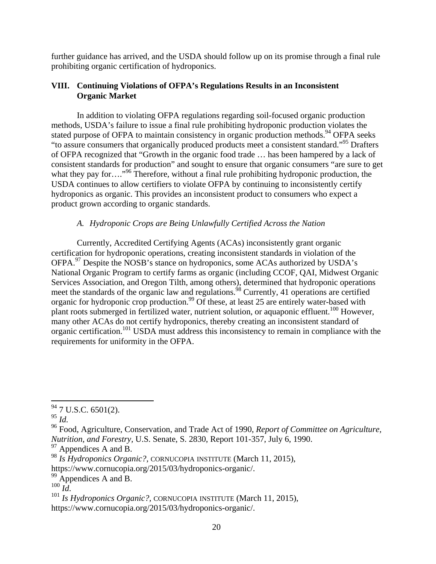further guidance has arrived, and the USDA should follow up on its promise through a final rule prohibiting organic certification of hydroponics.

#### **VIII. Continuing Violations of OFPA's Regulations Results in an Inconsistent Organic Market**

 In addition to violating OFPA regulations regarding soil-focused organic production methods, USDA's failure to issue a final rule prohibiting hydroponic production violates the stated purpose of OFPA to maintain consistency in organic production methods.<sup>94</sup> OFPA seeks "to assure consumers that organically produced products meet a consistent standard."95 Drafters of OFPA recognized that "Growth in the organic food trade … has been hampered by a lack of consistent standards for production" and sought to ensure that organic consumers "are sure to get what they pay for…."<sup>96</sup> Therefore, without a final rule prohibiting hydroponic production, the USDA continues to allow certifiers to violate OFPA by continuing to inconsistently certify hydroponics as organic. This provides an inconsistent product to consumers who expect a product grown according to organic standards.

# *A. Hydroponic Crops are Being Unlawfully Certified Across the Nation*

 Currently, Accredited Certifying Agents (ACAs) inconsistently grant organic certification for hydroponic operations, creating inconsistent standards in violation of the OFPA.97 Despite the NOSB's stance on hydroponics, some ACAs authorized by USDA's National Organic Program to certify farms as organic (including CCOF, QAI, Midwest Organic Services Association, and Oregon Tilth, among others), determined that hydroponic operations meet the standards of the organic law and regulations.<sup>98</sup> Currently, 41 operations are certified organic for hydroponic crop production.<sup>99</sup> Of these, at least 25 are entirely water-based with plant roots submerged in fertilized water, nutrient solution, or aquaponic effluent.<sup>100</sup> However, many other ACAs do not certify hydroponics, thereby creating an inconsistent standard of organic certification.101 USDA must address this inconsistency to remain in compliance with the requirements for uniformity in the OFPA.

  $94$  7 U.S.C. 6501(2).

<sup>95</sup> *Id.* 96 Food, Agriculture, Conservation, and Trade Act of 1990, *Report of Committee on Agriculture, Nutrition, and Forestry,* U.S. Senate, S. 2830, Report 101-357, July 6, 1990.

 $97$  Appendices A and B.

<sup>98</sup> *Is Hydroponics Organic?*, CORNUCOPIA INSTITUTE (March 11, 2015),

https://www.cornucopia.org/2015/03/hydroponics-organic/.

 $^{99}$  Appendices A and B.<br><sup>100</sup> Id.

<sup>&</sup>lt;sup>101</sup> *Is Hydroponics Organic?*, CORNUCOPIA INSTITUTE (March 11, 2015), https://www.cornucopia.org/2015/03/hydroponics-organic/.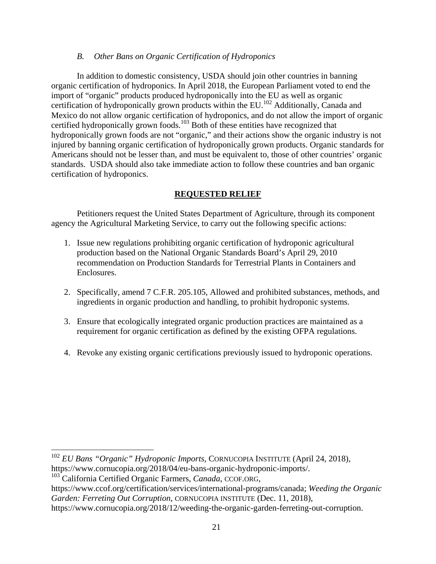#### *B. Other Bans on Organic Certification of Hydroponics*

 In addition to domestic consistency, USDA should join other countries in banning organic certification of hydroponics. In April 2018, the European Parliament voted to end the import of "organic" products produced hydroponically into the EU as well as organic certification of hydroponically grown products within the EU.<sup>102</sup> Additionally, Canada and Mexico do not allow organic certification of hydroponics, and do not allow the import of organic certified hydroponically grown foods.<sup>103</sup> Both of these entities have recognized that hydroponically grown foods are not "organic," and their actions show the organic industry is not injured by banning organic certification of hydroponically grown products. Organic standards for Americans should not be lesser than, and must be equivalent to, those of other countries' organic standards. USDA should also take immediate action to follow these countries and ban organic certification of hydroponics.

## **REQUESTED RELIEF**

 Petitioners request the United States Department of Agriculture, through its component agency the Agricultural Marketing Service, to carry out the following specific actions:

- 1. Issue new regulations prohibiting organic certification of hydroponic agricultural production based on the National Organic Standards Board's April 29, 2010 recommendation on Production Standards for Terrestrial Plants in Containers and Enclosures.
- 2. Specifically, amend 7 C.F.R. 205.105, Allowed and prohibited substances, methods, and ingredients in organic production and handling, to prohibit hydroponic systems.
- 3. Ensure that ecologically integrated organic production practices are maintained as a requirement for organic certification as defined by the existing OFPA regulations.
- 4. Revoke any existing organic certifications previously issued to hydroponic operations.

 <sup>102</sup> *EU Bans "Organic" Hydroponic Imports,* CORNUCOPIA INSTITUTE (April 24, 2018), https://www.cornucopia.org/2018/04/eu-bans-organic-hydroponic-imports/.

103 California Certified Organic Farmers, *Canada*, CCOF.ORG,

https://www.ccof.org/certification/services/international-programs/canada; *Weeding the Organic Garden: Ferreting Out Corruption*, CORNUCOPIA INSTITUTE (Dec. 11, 2018), https://www.cornucopia.org/2018/12/weeding-the-organic-garden-ferreting-out-corruption.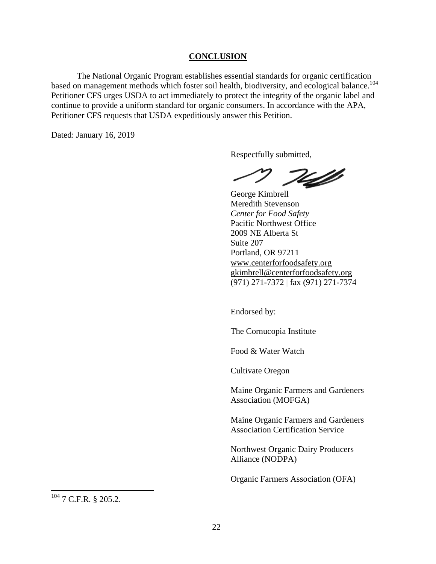#### **CONCLUSION**

The National Organic Program establishes essential standards for organic certification based on management methods which foster soil health, biodiversity, and ecological balance.<sup>104</sup> Petitioner CFS urges USDA to act immediately to protect the integrity of the organic label and continue to provide a uniform standard for organic consumers. In accordance with the APA, Petitioner CFS requests that USDA expeditiously answer this Petition.

Dated: January 16, 2019

Respectfully submitted,

T4f

George Kimbrell Meredith Stevenson *Center for Food Safety*  Pacific Northwest Office 2009 NE Alberta St Suite 207 Portland, OR 97211 www.centerforfoodsafety.org gkimbrell@centerforfoodsafety.org (971) 271-7372 | fax (971) 271-7374

Endorsed by:

The Cornucopia Institute

Food & Water Watch

Cultivate Oregon

Maine Organic Farmers and Gardeners Association (MOFGA)

Maine Organic Farmers and Gardeners Association Certification Service

Northwest Organic Dairy Producers Alliance (NODPA)

Organic Farmers Association (OFA)

 $104$  7 C.F.R. § 205.2.